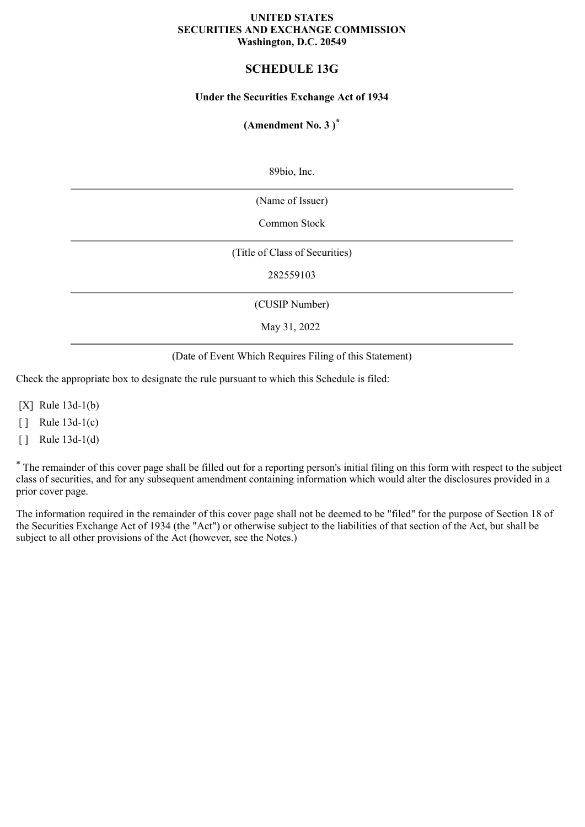### **UNITED STATES SECURITIES AND EXCHANGE COMMISSION Washington, D.C. 20549**

# **SCHEDULE 13G**

### **Under the Securities Exchange Act of 1934**

## **(Amendment No. 3 ) \***

89bio, Inc.

(Name of Issuer)

Common Stock

(Title of Class of Securities)

282559103

(CUSIP Number)

May 31, 2022

(Date of Event Which Requires Filing of this Statement)

Check the appropriate box to designate the rule pursuant to which this Schedule is filed:

[X] Rule 13d-1(b)

 $\lceil \cdot \rceil$  Rule 13d-1(c)

 $\lceil \cdot \rceil$  Rule 13d-1(d)

\* The remainder of this cover page shall be filled out for a reporting person's initial filing on this form with respect to the subject class of securities, and for any subsequent amendment containing information which would alter the disclosures provided in a prior cover page.

The information required in the remainder of this cover page shall not be deemed to be "filed" for the purpose of Section 18 of the Securities Exchange Act of 1934 (the "Act") or otherwise subject to the liabilities of that section of the Act, but shall be subject to all other provisions of the Act (however, see the Notes.)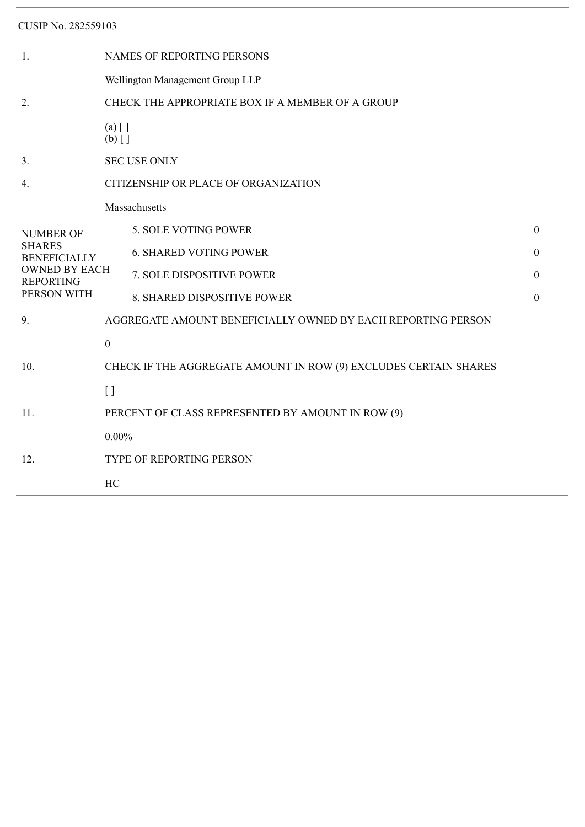CUSIP No. 282559103

| 1.                                                                                                                  | NAMES OF REPORTING PERSONS                                       |                                                              |                  |  |  |  |
|---------------------------------------------------------------------------------------------------------------------|------------------------------------------------------------------|--------------------------------------------------------------|------------------|--|--|--|
|                                                                                                                     | Wellington Management Group LLP                                  |                                                              |                  |  |  |  |
| 2.                                                                                                                  | CHECK THE APPROPRIATE BOX IF A MEMBER OF A GROUP                 |                                                              |                  |  |  |  |
|                                                                                                                     | $(a)$ []<br>$(b)$ []                                             |                                                              |                  |  |  |  |
| 3.                                                                                                                  | <b>SEC USE ONLY</b>                                              |                                                              |                  |  |  |  |
| $\overline{4}$ .                                                                                                    | CITIZENSHIP OR PLACE OF ORGANIZATION                             |                                                              |                  |  |  |  |
| <b>NUMBER OF</b><br><b>SHARES</b><br><b>BENEFICIALLY</b><br><b>OWNED BY EACH</b><br><b>REPORTING</b><br>PERSON WITH | Massachusetts                                                    |                                                              |                  |  |  |  |
|                                                                                                                     |                                                                  | 5. SOLE VOTING POWER                                         | $\boldsymbol{0}$ |  |  |  |
|                                                                                                                     |                                                                  | <b>6. SHARED VOTING POWER</b>                                | $\boldsymbol{0}$ |  |  |  |
|                                                                                                                     |                                                                  | 7. SOLE DISPOSITIVE POWER                                    | $\boldsymbol{0}$ |  |  |  |
|                                                                                                                     |                                                                  | 8. SHARED DISPOSITIVE POWER                                  | $\mathbf{0}$     |  |  |  |
| 9.                                                                                                                  |                                                                  | AGGREGATE AMOUNT BENEFICIALLY OWNED BY EACH REPORTING PERSON |                  |  |  |  |
| 10.                                                                                                                 | $\boldsymbol{0}$                                                 |                                                              |                  |  |  |  |
|                                                                                                                     | CHECK IF THE AGGREGATE AMOUNT IN ROW (9) EXCLUDES CERTAIN SHARES |                                                              |                  |  |  |  |
|                                                                                                                     | $\left[ \ \right]$                                               |                                                              |                  |  |  |  |
| 11.                                                                                                                 | PERCENT OF CLASS REPRESENTED BY AMOUNT IN ROW (9)                |                                                              |                  |  |  |  |
|                                                                                                                     | $0.00\%$                                                         |                                                              |                  |  |  |  |
| 12.                                                                                                                 | TYPE OF REPORTING PERSON                                         |                                                              |                  |  |  |  |
|                                                                                                                     | HC                                                               |                                                              |                  |  |  |  |
|                                                                                                                     |                                                                  |                                                              |                  |  |  |  |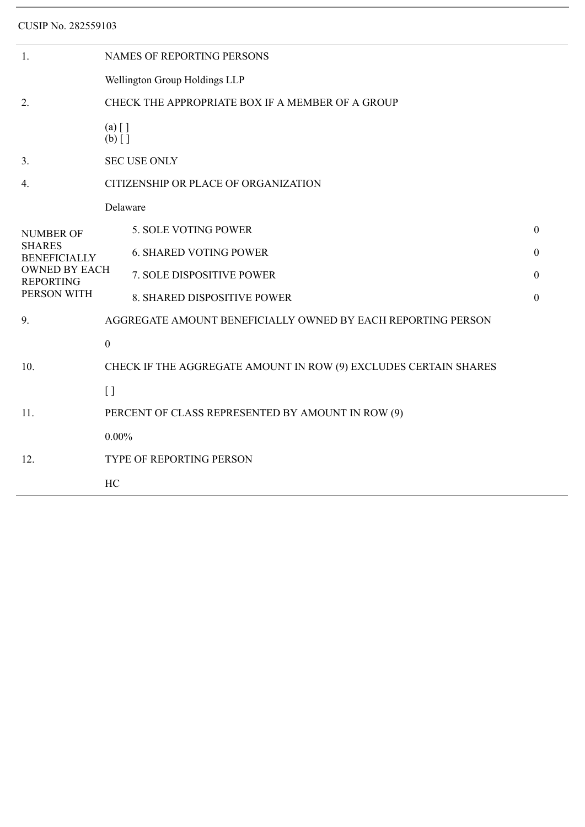CUSIP No. 282559103

| 1.                                                                                                                  | <b>NAMES OF REPORTING PERSONS</b>                                |                                                              |                  |  |  |  |
|---------------------------------------------------------------------------------------------------------------------|------------------------------------------------------------------|--------------------------------------------------------------|------------------|--|--|--|
|                                                                                                                     | Wellington Group Holdings LLP                                    |                                                              |                  |  |  |  |
| 2.                                                                                                                  | CHECK THE APPROPRIATE BOX IF A MEMBER OF A GROUP                 |                                                              |                  |  |  |  |
|                                                                                                                     | $(a)$ []<br>$(b)$ []                                             |                                                              |                  |  |  |  |
| 3.                                                                                                                  | <b>SEC USE ONLY</b>                                              |                                                              |                  |  |  |  |
| 4.                                                                                                                  | CITIZENSHIP OR PLACE OF ORGANIZATION                             |                                                              |                  |  |  |  |
| <b>NUMBER OF</b><br><b>SHARES</b><br><b>BENEFICIALLY</b><br><b>OWNED BY EACH</b><br><b>REPORTING</b><br>PERSON WITH | Delaware                                                         |                                                              |                  |  |  |  |
|                                                                                                                     |                                                                  | 5. SOLE VOTING POWER                                         | $\mathbf{0}$     |  |  |  |
|                                                                                                                     |                                                                  | <b>6. SHARED VOTING POWER</b>                                | $\boldsymbol{0}$ |  |  |  |
|                                                                                                                     |                                                                  | 7. SOLE DISPOSITIVE POWER                                    | $\boldsymbol{0}$ |  |  |  |
|                                                                                                                     |                                                                  | 8. SHARED DISPOSITIVE POWER                                  | $\boldsymbol{0}$ |  |  |  |
| 9.                                                                                                                  |                                                                  | AGGREGATE AMOUNT BENEFICIALLY OWNED BY EACH REPORTING PERSON |                  |  |  |  |
| 10.                                                                                                                 | $\boldsymbol{0}$                                                 |                                                              |                  |  |  |  |
|                                                                                                                     | CHECK IF THE AGGREGATE AMOUNT IN ROW (9) EXCLUDES CERTAIN SHARES |                                                              |                  |  |  |  |
|                                                                                                                     | $\left[ \ \right]$                                               |                                                              |                  |  |  |  |
| 11.                                                                                                                 | PERCENT OF CLASS REPRESENTED BY AMOUNT IN ROW (9)                |                                                              |                  |  |  |  |
| 12.                                                                                                                 | $0.00\%$                                                         |                                                              |                  |  |  |  |
|                                                                                                                     | <b>TYPE OF REPORTING PERSON</b>                                  |                                                              |                  |  |  |  |
|                                                                                                                     | HC                                                               |                                                              |                  |  |  |  |
|                                                                                                                     |                                                                  |                                                              |                  |  |  |  |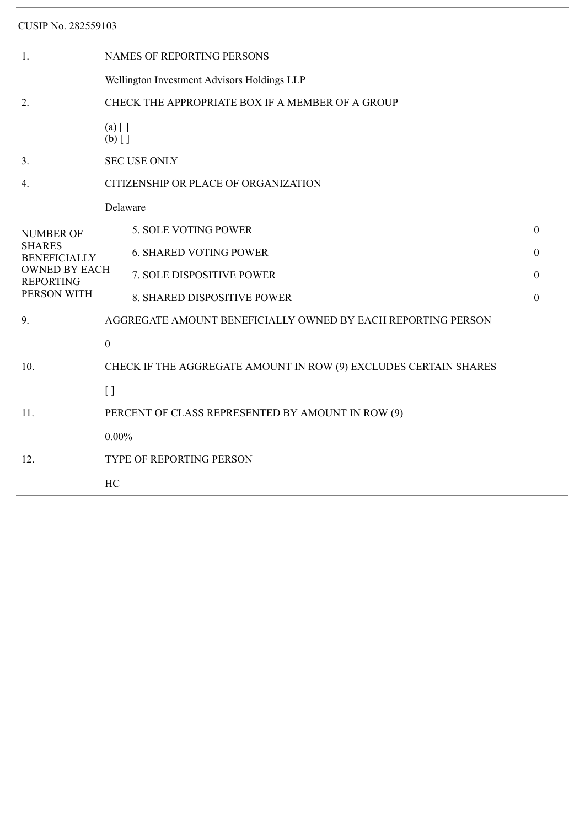CUSIP No. 282559103

| 1.                                                                                                                  | NAMES OF REPORTING PERSONS                                       |                                                              |                  |  |  |  |
|---------------------------------------------------------------------------------------------------------------------|------------------------------------------------------------------|--------------------------------------------------------------|------------------|--|--|--|
|                                                                                                                     | Wellington Investment Advisors Holdings LLP                      |                                                              |                  |  |  |  |
| 2.                                                                                                                  | CHECK THE APPROPRIATE BOX IF A MEMBER OF A GROUP                 |                                                              |                  |  |  |  |
|                                                                                                                     | $(a)$ []<br>$(b)$ []                                             |                                                              |                  |  |  |  |
| 3 <sub>1</sub>                                                                                                      | <b>SEC USE ONLY</b>                                              |                                                              |                  |  |  |  |
| 4.                                                                                                                  | CITIZENSHIP OR PLACE OF ORGANIZATION                             |                                                              |                  |  |  |  |
| <b>NUMBER OF</b><br><b>SHARES</b><br><b>BENEFICIALLY</b><br><b>OWNED BY EACH</b><br><b>REPORTING</b><br>PERSON WITH | Delaware                                                         |                                                              |                  |  |  |  |
|                                                                                                                     |                                                                  | 5. SOLE VOTING POWER                                         | $\mathbf{0}$     |  |  |  |
|                                                                                                                     |                                                                  | <b>6. SHARED VOTING POWER</b>                                | $\boldsymbol{0}$ |  |  |  |
|                                                                                                                     |                                                                  | 7. SOLE DISPOSITIVE POWER                                    | $\mathbf{0}$     |  |  |  |
|                                                                                                                     |                                                                  | 8. SHARED DISPOSITIVE POWER                                  | $\mathbf{0}$     |  |  |  |
| 9.                                                                                                                  |                                                                  | AGGREGATE AMOUNT BENEFICIALLY OWNED BY EACH REPORTING PERSON |                  |  |  |  |
| 10.                                                                                                                 | $\boldsymbol{0}$                                                 |                                                              |                  |  |  |  |
|                                                                                                                     | CHECK IF THE AGGREGATE AMOUNT IN ROW (9) EXCLUDES CERTAIN SHARES |                                                              |                  |  |  |  |
|                                                                                                                     | $[ \ ]$                                                          |                                                              |                  |  |  |  |
| 11.                                                                                                                 | PERCENT OF CLASS REPRESENTED BY AMOUNT IN ROW (9)                |                                                              |                  |  |  |  |
|                                                                                                                     | $0.00\%$                                                         |                                                              |                  |  |  |  |
| 12.                                                                                                                 | TYPE OF REPORTING PERSON                                         |                                                              |                  |  |  |  |
|                                                                                                                     | HC                                                               |                                                              |                  |  |  |  |
|                                                                                                                     |                                                                  |                                                              |                  |  |  |  |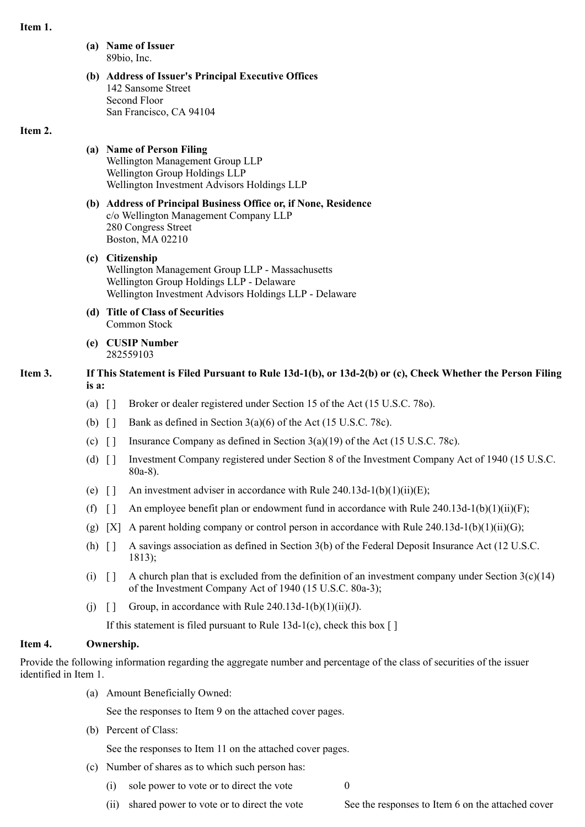### **Item 1.**

- **(a) Name of Issuer** 89bio, Inc.
- **(b) Address of Issuer's Principal Executive Offices** 142 Sansome Street Second Floor San Francisco, CA 94104

### **Item 2.**

#### **(a) Name of Person Filing**

- Wellington Management Group LLP Wellington Group Holdings LLP Wellington Investment Advisors Holdings LLP
- **(b) Address of Principal Business Office or, if None, Residence** c/o Wellington Management Company LLP 280 Congress Street Boston, MA 02210
- **(c) Citizenship** Wellington Management Group LLP - Massachusetts Wellington Group Holdings LLP - Delaware Wellington Investment Advisors Holdings LLP - Delaware
- **(d) Title of Class of Securities** Common Stock
- **(e) CUSIP Number** 282559103

### **Item 3. If This Statement is Filed Pursuant to Rule 13d-1(b), or 13d-2(b) or (c), Check Whether the Person Filing is a:**

- (a) [ ] Broker or dealer registered under Section 15 of the Act (15 U.S.C. 78o).
- (b)  $\begin{bmatrix} \end{bmatrix}$  Bank as defined in Section 3(a)(6) of the Act (15 U.S.C. 78c).
- (c)  $\lceil \cdot \rceil$  Insurance Company as defined in Section 3(a)(19) of the Act (15 U.S.C. 78c).
- (d) [ ] Investment Company registered under Section 8 of the Investment Company Act of 1940 (15 U.S.C. 80a-8).
- (e)  $\lceil \cdot \rceil$  An investment adviser in accordance with Rule 240.13d-1(b)(1)(ii)(E);
- (f)  $\lceil \cdot \rceil$  An employee benefit plan or endowment fund in accordance with Rule 240.13d-1(b)(1)(ii)(F);
- (g) [X] A parent holding company or control person in accordance with Rule 240.13d-1(b)(1)(ii)(G);
- (h) [ ] A savings association as defined in Section 3(b) of the Federal Deposit Insurance Act (12 U.S.C. 1813);
- (i)  $\lceil \cdot \rceil$  A church plan that is excluded from the definition of an investment company under Section 3(c)(14) of the Investment Company Act of 1940 (15 U.S.C. 80a-3);
- (i)  $\lceil \cdot \rceil$  Group, in accordance with Rule 240.13d-1(b)(1)(ii)(J).

If this statement is filed pursuant to Rule 13d-1(c), check this box  $\lceil \cdot \rceil$ 

### **Item 4. Ownership.**

Provide the following information regarding the aggregate number and percentage of the class of securities of the issuer identified in Item 1.

(a) Amount Beneficially Owned:

See the responses to Item 9 on the attached cover pages.

(b) Percent of Class:

See the responses to Item 11 on the attached cover pages.

- (c) Number of shares as to which such person has:
	- (i) sole power to vote or to direct the vote  $0$
	- (ii) shared power to vote or to direct the vote See the responses to Item 6 on the attached cover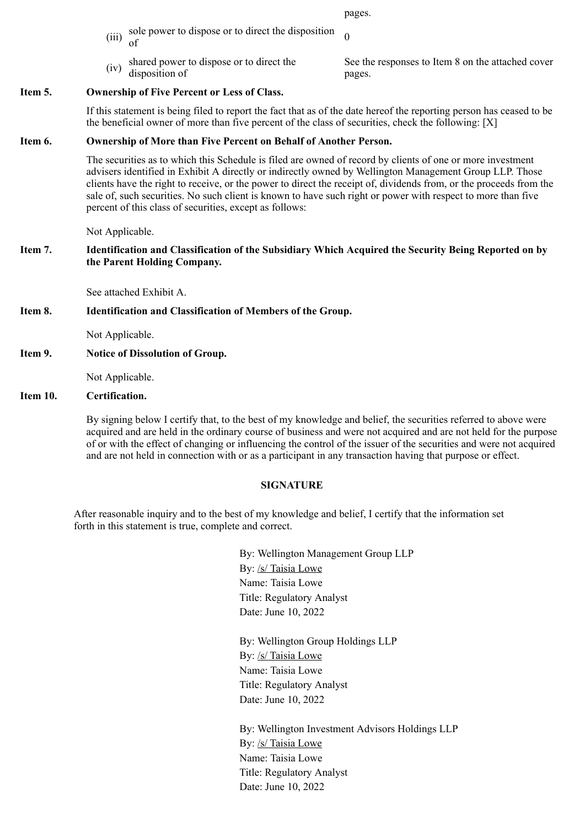pages.

- (iii) sole power to dispose or to direct the disposition  $\sigma$
- $(iv)$  shared power to dispose or to direct the disposition of

See the responses to Item 8 on the attached cover pages.

### **Item 5. Ownership of Five Percent or Less of Class.**

If this statement is being filed to report the fact that as of the date hereof the reporting person has ceased to be the beneficial owner of more than five percent of the class of securities, check the following: [X]

### **Item 6. Ownership of More than Five Percent on Behalf of Another Person.**

The securities as to which this Schedule is filed are owned of record by clients of one or more investment advisers identified in Exhibit A directly or indirectly owned by Wellington Management Group LLP. Those clients have the right to receive, or the power to direct the receipt of, dividends from, or the proceeds from the sale of, such securities. No such client is known to have such right or power with respect to more than five percent of this class of securities, except as follows:

Not Applicable.

### **Item 7. Identification and Classification of the Subsidiary Which Acquired the Security Being Reported on by the Parent Holding Company.**

See attached Exhibit A.

#### **Item 8. Identification and Classification of Members of the Group.**

Not Applicable.

**Item 9. Notice of Dissolution of Group.**

Not Applicable.

### **Item 10. Certification.**

By signing below I certify that, to the best of my knowledge and belief, the securities referred to above were acquired and are held in the ordinary course of business and were not acquired and are not held for the purpose of or with the effect of changing or influencing the control of the issuer of the securities and were not acquired and are not held in connection with or as a participant in any transaction having that purpose or effect.

#### **SIGNATURE**

After reasonable inquiry and to the best of my knowledge and belief, I certify that the information set forth in this statement is true, complete and correct.

> By: Wellington Management Group LLP By: /s/ Taisia Lowe Name: Taisia Lowe Title: Regulatory Analyst Date: June 10, 2022

By: Wellington Group Holdings LLP By: /s/ Taisia Lowe Name: Taisia Lowe Title: Regulatory Analyst Date: June 10, 2022

By: Wellington Investment Advisors Holdings LLP By: /s/ Taisia Lowe Name: Taisia Lowe Title: Regulatory Analyst Date: June 10, 2022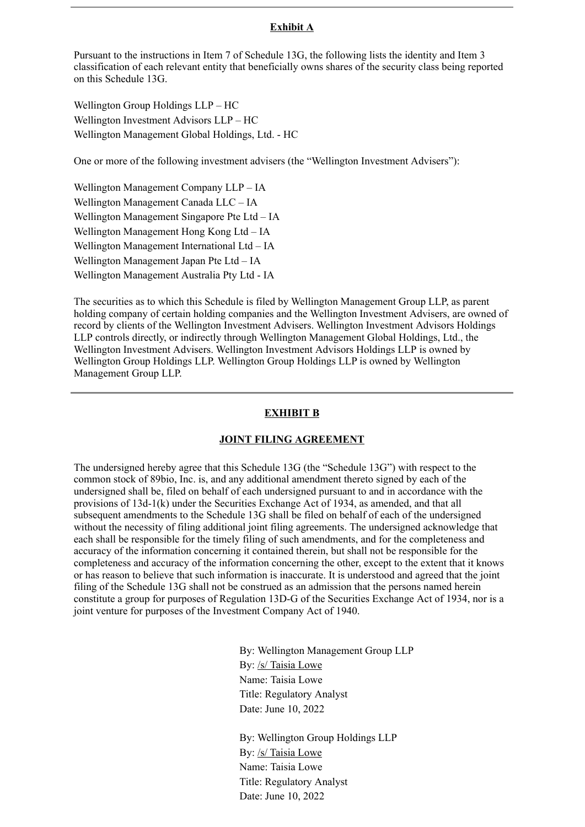### **Exhibit A**

Pursuant to the instructions in Item 7 of Schedule 13G, the following lists the identity and Item 3 classification of each relevant entity that beneficially owns shares of the security class being reported on this Schedule 13G.

Wellington Group Holdings LLP – HC Wellington Investment Advisors LLP – HC Wellington Management Global Holdings, Ltd. - HC

One or more of the following investment advisers (the "Wellington Investment Advisers"):

Wellington Management Company LLP – IA Wellington Management Canada LLC – IA Wellington Management Singapore Pte Ltd – IA Wellington Management Hong Kong Ltd – IA Wellington Management International Ltd – IA Wellington Management Japan Pte Ltd – IA Wellington Management Australia Pty Ltd - IA

The securities as to which this Schedule is filed by Wellington Management Group LLP, as parent holding company of certain holding companies and the Wellington Investment Advisers, are owned of record by clients of the Wellington Investment Advisers. Wellington Investment Advisors Holdings LLP controls directly, or indirectly through Wellington Management Global Holdings, Ltd., the Wellington Investment Advisers. Wellington Investment Advisors Holdings LLP is owned by Wellington Group Holdings LLP. Wellington Group Holdings LLP is owned by Wellington Management Group LLP.

### **EXHIBIT B**

#### **JOINT FILING AGREEMENT**

The undersigned hereby agree that this Schedule 13G (the "Schedule 13G") with respect to the common stock of 89bio, Inc. is, and any additional amendment thereto signed by each of the undersigned shall be, filed on behalf of each undersigned pursuant to and in accordance with the provisions of 13d-1(k) under the Securities Exchange Act of 1934, as amended, and that all subsequent amendments to the Schedule 13G shall be filed on behalf of each of the undersigned without the necessity of filing additional joint filing agreements. The undersigned acknowledge that each shall be responsible for the timely filing of such amendments, and for the completeness and accuracy of the information concerning it contained therein, but shall not be responsible for the completeness and accuracy of the information concerning the other, except to the extent that it knows or has reason to believe that such information is inaccurate. It is understood and agreed that the joint filing of the Schedule 13G shall not be construed as an admission that the persons named herein constitute a group for purposes of Regulation 13D-G of the Securities Exchange Act of 1934, nor is a joint venture for purposes of the Investment Company Act of 1940.

> By: Wellington Management Group LLP By: /s/ Taisia Lowe Name: Taisia Lowe Title: Regulatory Analyst Date: June 10, 2022

By: Wellington Group Holdings LLP By: /s/ Taisia Lowe Name: Taisia Lowe Title: Regulatory Analyst Date: June 10, 2022